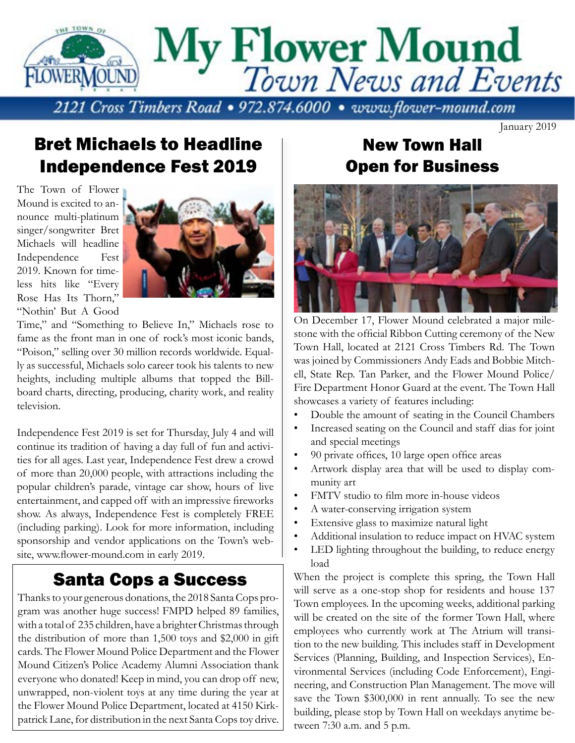

Bret Michaels to Headline Independence Fest 2019

The Town of Flower Mound is excited to announce multi-platinum singer/songwriter Bret Michaels will headline Independence Fest 2019. Known for timeless hits like "Every Rose Has Its Thorn,' "Nothin' But A Good



Time," and "Something to Believe In," Michaels rose to fame as the front man in one of rock's most iconic bands, "Poison," selling over 30 million records worldwide. Equally as successful, Michaels solo career took his talents to new heights, including multiple albums that topped the Billboard charts, directing, producing, charity work, and reality television.

Independence Fest 2019 is set for Thursday, July 4 and will continue its tradition of having a day full of fun and activities for all ages. Last year, Independence Fest drew a crowd of more than 20,000 people, with attractions including the popular children's parade, vintage car show, hours of live entertainment, and capped off with an impressive fireworks show. As always, Independence Fest is completely FREE (including parking). Look for more information, including sponsorship and vendor applications on the Town's website, www.flower-mound.com in early 2019.

#### Santa Cops a Success

Thanks to your generous donations, the 2018 Santa Cops program was another huge success! FMPD helped 89 families, with a total of 235 children, have a brighter Christmas through the distribution of more than 1,500 toys and \$2,000 in gift cards. The Flower Mound Police Department and the Flower Mound Citizen's Police Academy Alumni Association thank everyone who donated! Keep in mind, you can drop off new, unwrapped, non-violent toys at any time during the year at the Flower Mound Police Department, located at 4150 Kirkpatrick Lane, for distribution in the next Santa Cops toy drive.

### New Town Hall Open for Business

January 2019



On December 17, Flower Mound celebrated a major milestone with the official Ribbon Cutting ceremony of the New Town Hall, located at 2121 Cross Timbers Rd. The Town was joined by Commissioners Andy Eads and Bobbie Mitchell, State Rep. Tan Parker, and the Flower Mound Police/ Fire Department Honor Guard at the event. The Town Hall showcases a variety of features including:

- Double the amount of seating in the Council Chambers
- Increased seating on the Council and staff dias for joint and special meetings
- 90 private offices, 10 large open office areas
- Artwork display area that will be used to display community art
- FMTV studio to film more in-house videos
- A water-conserving irrigation system
- Extensive glass to maximize natural light
- Additional insulation to reduce impact on HVAC system
- LED lighting throughout the building, to reduce energy load

When the project is complete this spring, the Town Hall will serve as a one-stop shop for residents and house 137 Town employees. In the upcoming weeks, additional parking will be created on the site of the former Town Hall, where employees who currently work at The Atrium will transition to the new building. This includes staff in Development Services (Planning, Building, and Inspection Services), Environmental Services (including Code Enforcement), Engineering, and Construction Plan Management. The move will save the Town \$300,000 in rent annually. To see the new building, please stop by Town Hall on weekdays anytime between 7:30 a.m. and 5 p.m.